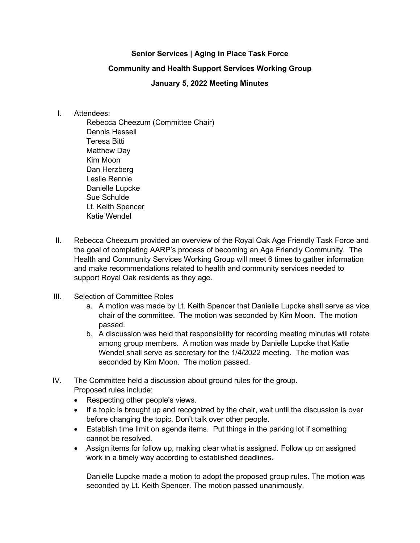## **Senior Services | Aging in Place Task Force**

## **Community and Health Support Services Working Group**

## **January 5, 2022 Meeting Minutes**

## I. Attendees:

Rebecca Cheezum (Committee Chair) Dennis Hessell Teresa Bitti Matthew Day Kim Moon Dan Herzberg Leslie Rennie Danielle Lupcke Sue Schulde Lt. Keith Spencer Katie Wendel

- II. Rebecca Cheezum provided an overview of the Royal Oak Age Friendly Task Force and the goal of completing AARP's process of becoming an Age Friendly Community. The Health and Community Services Working Group will meet 6 times to gather information and make recommendations related to health and community services needed to support Royal Oak residents as they age.
- III. Selection of Committee Roles
	- a. A motion was made by Lt. Keith Spencer that Danielle Lupcke shall serve as vice chair of the committee. The motion was seconded by Kim Moon. The motion passed.
	- b. A discussion was held that responsibility for recording meeting minutes will rotate among group members. A motion was made by Danielle Lupcke that Katie Wendel shall serve as secretary for the 1/4/2022 meeting. The motion was seconded by Kim Moon. The motion passed.
- IV. The Committee held a discussion about ground rules for the group. Proposed rules include:
	- Respecting other people's views.
	- If a topic is brought up and recognized by the chair, wait until the discussion is over before changing the topic. Don't talk over other people.
	- Establish time limit on agenda items. Put things in the parking lot if something cannot be resolved.
	- Assign items for follow up, making clear what is assigned. Follow up on assigned work in a timely way according to established deadlines.

Danielle Lupcke made a motion to adopt the proposed group rules. The motion was seconded by Lt. Keith Spencer. The motion passed unanimously.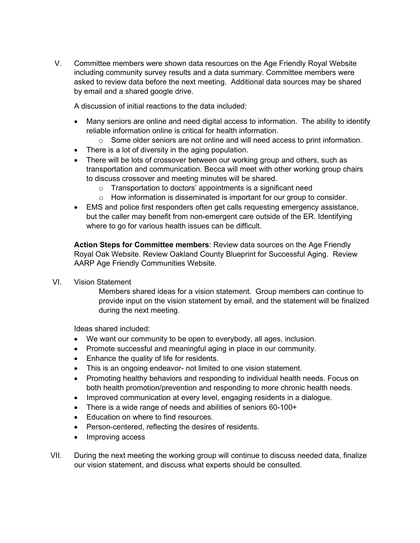V. Committee members were shown data resources on the Age Friendly Royal Website including community survey results and a data summary. Committee members were asked to review data before the next meeting. Additional data sources may be shared by email and a shared google drive.

A discussion of initial reactions to the data included:

- Many seniors are online and need digital access to information. The ability to identify reliable information online is critical for health information.
	- $\circ$  Some older seniors are not online and will need access to print information.
- There is a lot of diversity in the aging population.
- There will be lots of crossover between our working group and others, such as transportation and communication. Becca will meet with other working group chairs to discuss crossover and meeting minutes will be shared.
	- o Transportation to doctors' appointments is a significant need
	- o How information is disseminated is important for our group to consider.
- EMS and police first responders often get calls requesting emergency assistance, but the caller may benefit from non-emergent care outside of the ER. Identifying where to go for various health issues can be difficult.

**Action Steps for Committee members**: Review data sources on the Age Friendly Royal Oak Website. Review Oakland County Blueprint for Successful Aging. Review AARP Age Friendly Communities Website.

VI. Vision Statement

Members shared ideas for a vision statement. Group members can continue to provide input on the vision statement by email, and the statement will be finalized during the next meeting.

Ideas shared included:

- We want our community to be open to everybody, all ages, inclusion.
- Promote successful and meaningful aging in place in our community.
- Enhance the quality of life for residents.
- This is an ongoing endeavor- not limited to one vision statement.
- Promoting healthy behaviors and responding to individual health needs. Focus on both health promotion/prevention and responding to more chronic health needs.
- Improved communication at every level, engaging residents in a dialogue.
- There is a wide range of needs and abilities of seniors 60-100+
- Education on where to find resources.
- Person-centered, reflecting the desires of residents.
- Improving access
- VII. During the next meeting the working group will continue to discuss needed data, finalize our vision statement, and discuss what experts should be consulted.